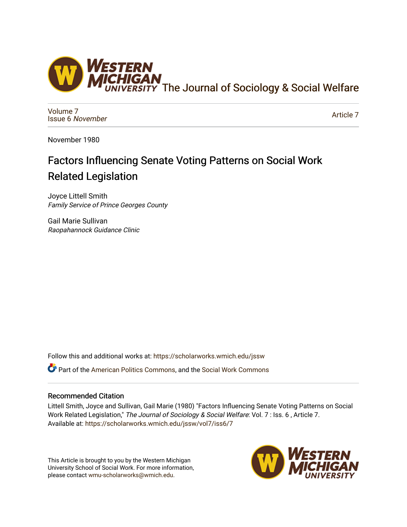

[Volume 7](https://scholarworks.wmich.edu/jssw/vol7) [Issue 6](https://scholarworks.wmich.edu/jssw/vol7/iss6) November

[Article 7](https://scholarworks.wmich.edu/jssw/vol7/iss6/7) 

November 1980

# Factors Influencing Senate Voting Patterns on Social Work Related Legislation

Joyce Littell Smith Family Service of Prince Georges County

Gail Marie Sullivan Raopahannock Guidance Clinic

Follow this and additional works at: [https://scholarworks.wmich.edu/jssw](https://scholarworks.wmich.edu/jssw?utm_source=scholarworks.wmich.edu%2Fjssw%2Fvol7%2Fiss6%2F7&utm_medium=PDF&utm_campaign=PDFCoverPages) 

Part of the [American Politics Commons,](http://network.bepress.com/hgg/discipline/387?utm_source=scholarworks.wmich.edu%2Fjssw%2Fvol7%2Fiss6%2F7&utm_medium=PDF&utm_campaign=PDFCoverPages) and the [Social Work Commons](http://network.bepress.com/hgg/discipline/713?utm_source=scholarworks.wmich.edu%2Fjssw%2Fvol7%2Fiss6%2F7&utm_medium=PDF&utm_campaign=PDFCoverPages) 

# Recommended Citation

Littell Smith, Joyce and Sullivan, Gail Marie (1980) "Factors Influencing Senate Voting Patterns on Social Work Related Legislation," The Journal of Sociology & Social Welfare: Vol. 7 : Iss. 6 , Article 7. Available at: [https://scholarworks.wmich.edu/jssw/vol7/iss6/7](https://scholarworks.wmich.edu/jssw/vol7/iss6/7?utm_source=scholarworks.wmich.edu%2Fjssw%2Fvol7%2Fiss6%2F7&utm_medium=PDF&utm_campaign=PDFCoverPages) 

This Article is brought to you by the Western Michigan University School of Social Work. For more information, please contact [wmu-scholarworks@wmich.edu.](mailto:wmu-scholarworks@wmich.edu)

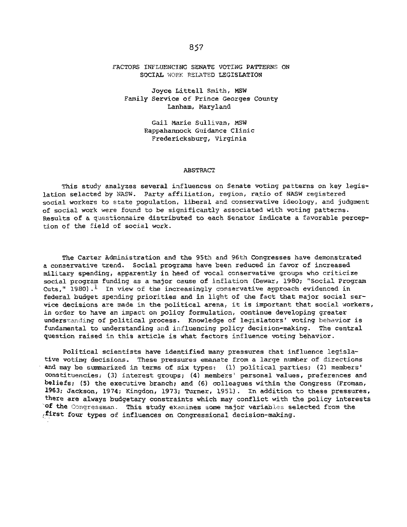## FACTORS INFLUENCING SENATE VOTING PATTERNS ON SOCIAL WORK RELATED LEGISLATION

Joyce Littell Smith, MSW Family Service of Prince Georges County Lanham, Maryland

> Gall Marie Sullivan, MSW Raopahannock Guidance Clinic Fredericksburg, Virginia

#### ABSTRACT

This study analyzes several influences on Senate voting patterns on key legislation selected by NASW. Party affiliation, region, ratio of NASW registered social workers to state population, liberal and conservative ideology, and judgment of social work were found to be significantly associated with voting patterns. Results of a questionnaire distributed to each Senator indicate a favorable perception of the field of social work.

The Carter Administration and the 95th and 96th Congresses have demonstrated a conservative trend. Social programs have been reduced in favor of increased military spending, apparently in heed of vocal conservative groups who criticize social program funding as a major cause of inflation (Dewar, 1980; "Social Program Cuts," 1980).<sup>1</sup> In view of the increasingly conservative approach evidenced in federal budget spending priorities and in light of the fact that major social service decisions are made in the political arena, it is important that social workers, in order to have an impact on policy formulation, continue developing greater understanding of political process. Knowledge of legislators' voting behavior is fundamental to understanding and influencing policy decision-making. The central question raised in this article is what factors influence voting behavior.

Political scientists have identified many pressures that influence legislative voting decisions. These pressures emanate from a large number of directions and may be summarized in terms of six types: (1) political parties; (2) members' constituencies; (3) interest groups; (4) members' personal values, preferences and beliefs; **(5)** the executive branch; and (6) colleagues within the Congress (Froman, 1963; Jackson, 1974; Kingdon, 1973; Turner, 1951). In addition to these pressures, there are always budgetary constraints which may conflict with the policy interests **of** the Congressman. This study examines some major variables selected from the :first four types of influences on Congressional decision-making.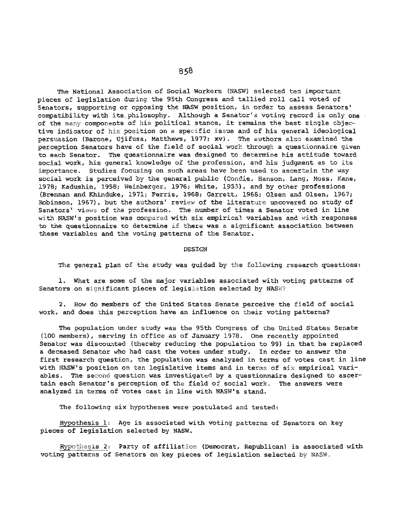The National Association of Social Workers (NASW) selected ten important pieces of legislation during the 95th Congress and tallied roll call voted of Senators, supporting or opposing the NASW position, in order to assess Senators' compatibility with its philosophy. Although a Senator's voting record is only one. of the many components of his political stance, it remains the best single objective indicator of his position on a specific issue and of his general ideological persuasion (Barone, Ujifusa, Matthews, 1977; xv). The authors also examined the perception Senators have of the field of social work through a questionnaire given to each Senator. The questionnaire was designed to determine his attitude toward social work, his general knowledge of the profession, and his judgment as to its importance. Studies focusing on such areas have been used to ascertain the way social work is perceived by the general public (Condie, Hanson, Lang, Moss, Kane, 1978; Kadushin, 1958; Weinberger, 1976; White, 1955), and by other professions (Brennan and Khinduke, 1971; Ferris, 1968; Garrett, 1968; Olsen and Olsen, 1967; Robinson, 1967), but the authors' review of the literature uncovered no study of Senators' views of the profession. The number of times a Senator voted in line with NASW's position was compared with six empirical variables and with responses to the questionnaire to determine if there was a significant association between these variables and the voting patterns of the Senator.

#### DESIGN

The general plan of the study was guided by the following research questions;

**1.** What are some of the major variables associated with voting patterns of Senators on significant pieces of legislation selected by NASW?

2. How do members of the United States Senate perceive the field of social work, and does this perception have an influence on their voting patterns?

The population under study was the 95th Congress of the United States Senate **(100** members), serving in office as of January 1978. One recently appointed Senator was discounted (thereby reducing the population to 99) in that he replaced a deceased Senator who had cast the votes under study. In order to answer the first research question, the population was analyzed in terms of votes cast in line with NASW's position on ten legislative items and in terms of six empirical variables. The second question was investigated by a questionnaire designed to ascertain each Senator's perception of the field of social work. The answers were analyzed in terms of votes cast in line with NASW's stand.

The following six hypotheses were postulated and tested:

Hypothesis **1:** Age is associated with voting patterns of Senators on key pieces of legislation selected by NASW.

Hypothesis 2: Party of affiliation (Democrat, Republican) is associated with voting patterns of Senators on key pieces of legislation selected by NASW.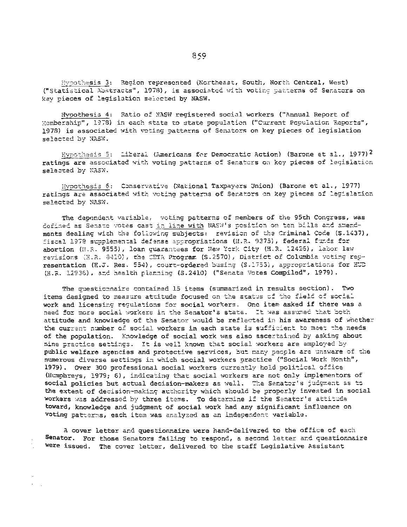Hypothesis 3: Region represented (Northeast, South, North Central, West) ("Statistical Abstracts", 1978), is associated with voting patterns of Senators on key pieces of legislation selected by NASW.

Hypothesis 4: Ratio of NASW registered social workers ("Annual Report of Wembership", 1978) in each state to state population ("Current Population Reports", 1978) is associated with voting patterns of Senators on key pieces of legislation selected by NASW.

Hypothesis 5: Liberal (Americans for Democratic Action) (Barone et al., 1977)<sup>2</sup> ratings are associated with voting patterns of Senators on key pieces of legislation selected by NASW.

Hypothesis 6: Conservative (National Taxpayers Union) (Barone et al., 1977) ratings are associated with voting patterns of Senators on key pieces of legislation selected by NASW.

The dependent variable, voting patterns of members of the 95th Congress, was dofined as Senato votes cast in line with NASW's position on ten bills and amendments dealing with the following subjects: revision of the Criminal Code (S.1437), fiscal 1978 supplemental defense appropriations (H.R. 9375), federal funds for abortion (H.R. 9555), loan quarantees for New York City (H.R. 12426), labor law revisions (H.R. 8410), the CETA Program (S.2570), District of Columbia voting representation (H.J. Res. 554), court-ordered busing (S.1753), appropriations for EUD (H.R. 12936), and health planning (S.2410) ("Senate Votes Compiled", 1979).

The suestionnaire contained 15 items (summarized in results section). Two items designed to measure attitude focused on the status of the field of social work and licensing regulations for social workers. One item asked if there was a need for more social workers in the Senator's state. It was assumed that both attitude and knowledge of the Senator would be reflected in his awareness of whether the current number of social workers in each state is sufficient to meet the needs of the population. Knowledge of social work was also ascertained by asking about nine practice settings. It is well known that social workers are employed by public welfare agencies and protective services, but many people are unaware of the numerous diverse settings in which social workers practice ("Social Work Month", 1979). Over 300 professional social workers currently hold political office (Humphreys, 1979; 6), indicating that social workers are not only implementors of social policies but actual decision-makers as well. The Senator's judgment as to the extent of decision-making authority which should be properly invested in social workers was addressed by three items. To determine if the Senator's attitude toward, knowledge and judgment of social work had any significant influence on voting patterns, each item was analyzed as an independent variable.

A cover letter and questionnaire were hand-delivered to the office of each Senator. For those Senators failing to respond, a second letter and questionnaire Were issued. The cover letter, delivered to the staff Legislative Assistant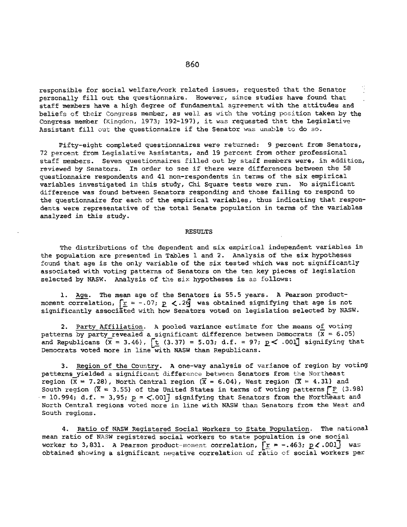responsible for social welfare/work related issues, requested that the Senator personally fill out the questionnaire. However, since studies have found that staff members have a high degree of fundamental agreement with the attitudes and beliefs of their Congress member, as well as with the voting position taken by the Congress member (Kingdon, 1973; 192-197), it was requested that the Legislative Assistant fill out the questionnaire if the Senator was unable to do so.

Pifty-eight completed questionnaires were returned: 9 percent from Senators, 72 percent from Legislative Assistants, and 19 percent from other professional staff members. Seven questionnaires filled out by staff members were, in addition, reviewed by Senators. In order to see if there were differences between the 58 questionnaire respondents and 41 non-respondents in terms of the six empirical variables investigated in this study, Chi Square tests were run. No significant difference was found between Senators responding and those failing to respond to the questionnaire for each of the empirical variables, thus indicating that respondents were representative of the total Senate population in terms of the variables analyzed in this study.

#### RESULTS

The distributions of the dependent and six empirical independent variables in the population are presented in Tables **1** and 2. Analysis of the six hypotheses found that age is the only variable of the six tested which was not significantly associated with voting patterns of Senators on the ten key pieces of legislation selected by NASW. Analysis of the six hypotheses is as follows:

1. Age. The mean age of the Senators is 55.5 years. A Pearson productmoment correlation,  $\lceil \frac{1}{2} \rceil = -0.07$ ;  $p \leq 2\frac{1}{2}$  was obtained signifying that age is not significantly associated with how Senators voted on legislation selected by NASW.

2. Party Affiliation. A pooled variance estimate for the means of voting patterns by party revealed a significant difference between Democrats ( $X = 6.05$ ) and Republicans  $(\bar{x} = 3.46)$ ,  $[\underline{t} (3.37) = 5.03$ ; d.f. = 97;  $\underline{p} < .001]$  signifying that Democrats voted more in line with NASW than Republicans.

**3.** Region of the Country. A one-way analysis of variance of region by voting patterns yielded a significant difference between Senators from the Northeast region  $(X = 7.28)$ , North Central region  $(\overline{X} = 6.04)$ , West region  $(X = 4.31)$  and South region ( $\bar{X}$  = 3.55) of the United States in terms of voting patterns  $\int_{\Gamma}$  (3.98) **=** 10.994; d.f. 3,95; p **= <.00 <sup>3</sup>**signifying that Senators from the Northeast and North Central regions voted more in line with NASW than Senators from the West and South regions.

4. Ratio of NASW Registered Social Workers to State Population. The national mean ratio of NASW registered social workers to state population is one social worker to 3,831. A Pearson product-moment correlation,  $\lceil r = -.463; p \lt.001 \rceil$  was obtained showing a significant negative correlation of ratio of social workers per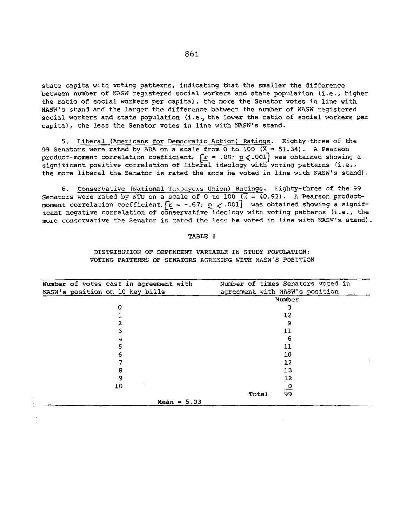state capita with voting patterns, indicating that the smaller the difference between number of NASW registered social workers and state population (i.e., higher the ratio of social workers per capita), the more the Senator votes in line with NASW's stand and the larger the difference between the number of NASW registered social workers and state population (i.e.) the lower the ratio of social workers per capita), the less the Senator votes in line with NASW's stand.

5. Liberal (Americans for Democratic Action) Ratings. Eiqhty-three of the 99 Senators were rated by ADA on a scale from 0 to **100 CX =** 51.34). A Pearson product-moment correlation coefficient,  $r = .80; p \le .001$  was obtained showing a significant positive correlation of liberal ideology with voting patterns (i.e., the more liberal the Senator is rated the more he voted in line with NASW's stand).

6. Conservative (National Taxpayers Union) Ratings. Eighty-three of the 99 Senators were rated by NTU on a scale of 0 to 100 ( $\overline{X} = 40.92$ ). A Pearson productmoment correlation coefficient,  $r = -.67$ ;  $p < .001$  was obtained showing a significant negative correlation of conservative ideology with voting patterns (i.e., the more conservative the Senator is rated the less he voted in line with NASW's stand).

## TABLE **1**

## DISTRIBUTION OF DEPENDENT VARIABLE IN STUDY POPULATION: VOTING PATTERNS OF SENATORS AGREEING WITH NASW'S POSITION

| Number of votes cast in agreement with | Number of times Senators voted in |
|----------------------------------------|-----------------------------------|
| NASW's position on 10 key bills        | agreement with NASW's position    |
|                                        | Number                            |
| n                                      |                                   |
|                                        | 12                                |
|                                        | 9                                 |
|                                        | 11                                |
| 4                                      | 6                                 |
|                                        | 11                                |
| 6                                      | 10                                |
|                                        | 12                                |
| 8                                      | 13                                |
| 9                                      | 12                                |
| 10                                     | Đ                                 |
|                                        | $\overline{99}$<br>Total          |
| Mean = $5.03$                          |                                   |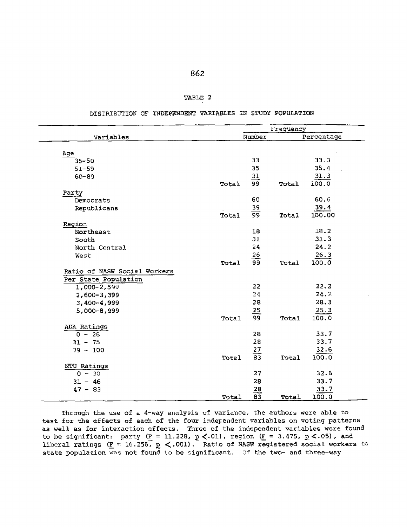## TABLE 2

DISTRIBUTION OF INDEPENDENT VARIABLES IN STUDY POPULATION

|                              |       | Frequency       |       |            |
|------------------------------|-------|-----------------|-------|------------|
| Variables                    |       | Number          |       | Percentage |
| Age                          |       |                 |       |            |
| $35 - 50$                    |       | 33              |       | 33.3       |
| $51 - 59$                    |       | 35              |       | 35.4       |
| $60 - 80$                    |       | 31              |       | 31.3       |
|                              | Total | $\overline{99}$ | Total | 100.0      |
| Party                        |       |                 |       |            |
| Democrats                    |       | 60              |       | 60.6       |
| Republicans                  |       | $\overline{39}$ |       | 39.4       |
|                              | Total | 99              | Total | 100.00     |
| Region                       |       |                 |       |            |
| Northeast                    |       | 18              |       | 18.2       |
| South                        |       | 31              |       | 31.3       |
| North Central                |       | 24              |       | 24.2       |
| West                         |       | 26              |       | 26.3       |
|                              | Total | 99              | Total | 100.0      |
| Ratio of NASW Social Workers |       |                 |       |            |
| Per State Population         |       |                 |       |            |
| 1,000-2,599                  |       | 22              |       | 22.2       |
| $2,600 - 3,399$              |       | 24              |       | 24.2       |
| 3,400-4,999                  |       | 28              |       | 28.3       |
| 5,000-8,999                  |       | $\frac{25}{99}$ |       | 25.3       |
|                              | Total |                 | Total | 100.0      |
| ADA Ratings                  |       |                 |       |            |
| $0 - 26$                     |       | 28              |       | 33.7       |
| $31 - 75$                    |       | 28              |       | 33.7       |
| $79 - 100$                   |       | 27              |       | 32.6       |
|                              | Total | $8\overline{3}$ | Total | 100.0      |
| NTU Ratings                  |       |                 |       |            |
| $0 - 30$                     |       | 27              |       | 32.6       |
| $31 - 46$                    |       | 28              |       | 33.7       |
| $47 - 83$                    |       | $\overline{28}$ |       | 33.7       |
|                              | Total | $\overline{83}$ | Total | 100.0      |

Through the use of a 4-way analysis of variance, the authors were able to test for the effects of each of the four independent variables on voting patterns as well as for interaction effects. Three of the independent variables were found to be significant: party (F = 11.228, **p** <.01), region (F = **3.475, p<.05),** and liberal ratings (F **=** 16.256, **p** <.001). Ratio of NASW registered social workers to state population was not found Lo be significant. **of** the two- and three-way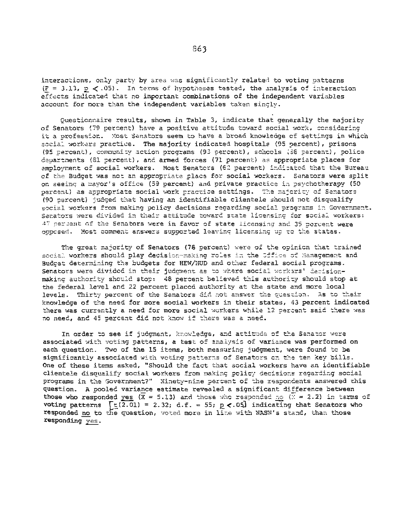interactions, only party by area was significantly related to voting patterns  $(F = 3.13, p \le .05)$ . In terms of hypotheses tested, the analysis of interaction effects indicated that no important combinations of the independent variables account for more than the independent variables taken singly.

Questionnaire results, shown in Table 3, indicate that generally the majority of Senators (79 percent) have a positive attitude toward social work, considering it a profession. Most Senators seem to have a broad knowledge of settings in which social workers practice. The majority indicated hospitals (95 percent), prisons (95 percent), community action programs (93 percent), schools (86 percent), police departments (S1 percent), and armed forces (71 percent) as appropriate places for amployment of social workers. Most Senators (62 persent) inditated that the Bureau of the Budget was not an appropriate place for social workers. Senators were split on seeing a mayor's office (59 percent) and private practice in psychotherapy (50 percent) as appropriate social work practice settings. The majority of Senators (90 percent) judged that having an identifiable clientele should not disqualify social workers from making policy decisions regarding social programs in Government. Senators were divided in their attitude toward state licensing for social workers: 47 percent of the Senators were in favor of state licensing and 35 percent were opposed. Most comment answers supported leaving licensing up to the states.

The great majority of Senators (76 percent) were of the opinion that trained social workers should play decision-making roles in the Office of Management and Buddet determining the budgets for HEW/HUD and other federal social programs. Senators were divided in their judgment as to where social workars' decisionmaking authority should stop: 48 percent believed this authority should stop at the federal level and 22 percent placed authority at the state and more local levels. Thirty percent of the Senators did not answer the question. As to their knowledge of the need for more social workers in their states, 43 percent indicated there was currently a need for more social workers while 12 percent said there was no need, and 45 percent did not know if there was a need.

In order to see if judgment, knowledge, and attitude of the Senator were associated with voting patterns, a test of analysis of variance was performed on each question. Two of the 15 items, both measuring judgment, were found to be significantly associated with voting patterns of Senators on the ten key bills. One of these items asked, "Should the fact that social workers have an identifiable clientele disoualify social workers from making policy decisions regarding social programs in the Government?" Ninety-nine percent of the respondents answered this question. A pooled variance estimate revealed a significant difference between those who responded yes  $(\overline{x} = 5.13)$  and those who responded no  $(\overline{x} = 2.2)$  in terms of voting patterns  $\lceil \frac{1}{2} (2.01) \rceil = 2.32$ ; d.f. = 55;  $p \lt 0.05$  indicating that Senators who responded no to the question, voted more in line with NASW's stand, than those responding yes.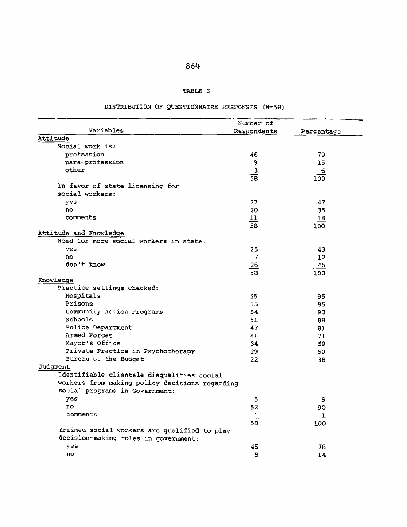|  | ۰. |  |
|--|----|--|
|--|----|--|

# TABLE 3

 $\sim$   $\sim$ 

 $\sim 10^{-1}$ 

# DISTRIBUTION OF **QUESTIONNAIRE PSPONSES (N=58)**

|                                                | Number of                         |                   |  |
|------------------------------------------------|-----------------------------------|-------------------|--|
| Variables                                      | Respondents                       | Percentage        |  |
| Attitude                                       |                                   |                   |  |
| Social work is:                                |                                   |                   |  |
| profession                                     | 46                                | 79.               |  |
| para-profession                                | 9                                 | 15                |  |
| other                                          | $\overline{\mathbf{3}}$           | 6                 |  |
|                                                | $\overline{58}$                   | 100               |  |
| In favor of state licensing for                |                                   |                   |  |
| social workers:                                |                                   |                   |  |
| yes                                            | 27                                | 47                |  |
| no                                             | 20                                | 35                |  |
| comments                                       | 11                                | 18                |  |
|                                                | $\overline{58}$                   | 100               |  |
| Attitude and Knowledge                         |                                   |                   |  |
| Need for more social workers in state:         |                                   |                   |  |
| yes                                            | 25                                | 43                |  |
| no                                             | 7                                 | $12 \overline{ }$ |  |
| don't know                                     |                                   | 45                |  |
|                                                | $\frac{26}{58}$                   | 100               |  |
| Knowledge                                      |                                   |                   |  |
| Practice settings checked:                     |                                   |                   |  |
| Hospitals                                      | 55                                | 95                |  |
| Prisons                                        | 55                                | 95                |  |
| Community Action Programs                      | 54                                | 93                |  |
| Schools                                        | 51                                | 88                |  |
| Police Department                              | 47                                | 81                |  |
| Armed Forces                                   | 41                                | 71                |  |
| Mayor's Office                                 | 34                                | 59                |  |
| Private Practice in Psychotherapy              | 29.                               | 50                |  |
| Bureau of the Budget                           | 22                                | 38                |  |
| Judgment                                       |                                   |                   |  |
| Identifiable clientele disqualifies social     |                                   |                   |  |
| workers from making policy decisions regarding |                                   |                   |  |
| social programs in Government:                 |                                   |                   |  |
| yes                                            | 5                                 | 9                 |  |
| <b>DO</b>                                      | 52                                | 90                |  |
| comments                                       |                                   |                   |  |
|                                                | $\overline{1}$<br>$\overline{58}$ | ı                 |  |
| Trained social workers are qualified to play   |                                   | 100               |  |
| decision-making roles in government:           |                                   |                   |  |
| yes                                            | 45                                | 78                |  |
| no                                             | 8                                 | 14                |  |
|                                                |                                   |                   |  |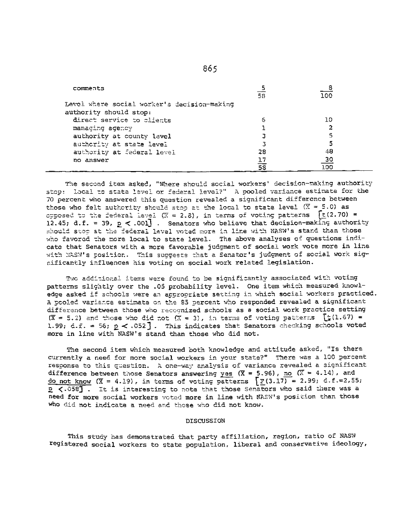| comments                                    | 58                                                       | <u>__ 8</u><br>100 |  |
|---------------------------------------------|----------------------------------------------------------|--------------------|--|
| Level where social worker's decision-making |                                                          |                    |  |
| authority should stop:                      |                                                          |                    |  |
|                                             |                                                          |                    |  |
| direct service to clients                   | 6                                                        | 10.                |  |
| managing agency                             |                                                          | 2                  |  |
| authority at county level                   |                                                          | 5                  |  |
| authority at state level                    |                                                          | 5                  |  |
| authority at federal level                  | 28                                                       | 48                 |  |
| no answer                                   | 17                                                       | $\overline{30}$    |  |
|                                             | $\overline{\overline{\bf s}}\overline{\overline{\bf s}}$ | 100                |  |

The second item asked, "Where should social workers' decision-making authority stop: local to state level or federal level?" A pooled variance estimate for the 70 percent who answered this question revealed a significant difference between those who felt authority should stop at the local to state level  $(\overline{X} = 5.0)$  as opposed to the federal lavel (X = 2.8), in terms of voting patterns  $\int$ E(2.70) = 12.45; d.f. = 39,  $p \le .001$  . Senators who believe that decision-making authority should stop at the federal level voted more in line with NASW's stand than those who favored the more local to state level. The above analyses of questions indicate that Senators with a more favorable judgment of social work vote more in line with NASW's position. This suggests that a Senator's judgment of social work significantly influences his voting on social work related legislation.

Two additional items were found to be significantly associated with voting patterns slightly over the .05 probability level. One item which measured knowledge asked if schools were an appropriate setting in which social workers practiced. A pooled variance estimate on the 85 percent who responded revealed a significant difference between those who recognized schools as a social work practice setting  $(\overline{x} = 5.2)$  and those who did not  $(\overline{x} = 3)$ , in terms of voting patterns  $\overline{\mathfrak{t}}(1.67) =$ 1.99; d.f. = 56;  $p \lt 0.052$ ]. This indicates that Senators checking schools voted more in line with NASW's stand than those who did not.

The second item which measured both knowledge and attitude asked, "Is there currently a need for more social workers in your state?" There was a 100 percent response to this question. A one-way analysis of variance revealed a significant difference between those Senators answering yes  $(\overline{X} = 5.96)$ , no  $(\overline{X} = 4.14)$ , and do not know  $(\overline{x} = 4.19)$ , in terms of voting patterns  $\sqrt{3}$  (3.17) = 2.99; d.f.=2,55; P <. 058]. It is interesting to note that those Senators who said there was a need for more social workers voted more in line with NASW's position than those who did not indicate a need and those who did not know.

### **DISCUSSION**

This study has demonstrated that party affiliation, region, ratio of NASW registered social workers to state population, liberal and conservative ideology,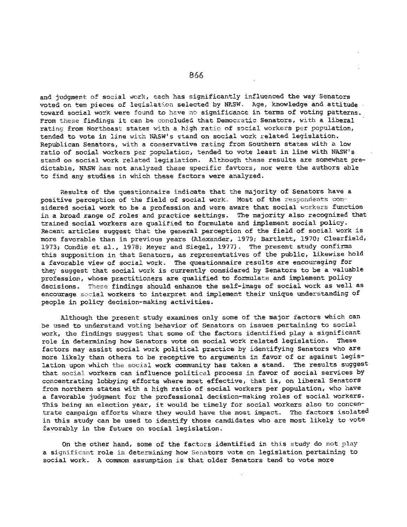and judgment of social work, each has significantly influenced the way Senators voted on ten pieces of legislation selected by NASW. Age, knowledge and attitude toward social work were found to have no significance in terms of voting patterns. From these findings it can be concluded that Democratic Senators, with a liberal rating from Northeast states with a high ratio of social workers per population, tended to vote in line with NASW's stand on social work related legislation. Republican Senators, with a conservative rating from Southern states with a low ratio of social workers per population, tended to vote least in line with NASW's stand on social work related legislation. Although these results are somewhat predictable, NASW has not analyzed these specific favtors, nor were the authors able to find any studies in which these factors were analyzed.

Results of the questionnaire indicate that the majority of Senators have a positive perception of the field of social work. Most of the respondents considered social work to be a profession and were aware that social workers function in a broad range of roles and practice settings. The majority also recognized that trained social workers are qualified to formulate and implement social policy. Recent articles suggest that the general perception of the field of social work is more favorable than in previous years (Alexander, 1979; Bartlett, 1970; Clearfield, 1973; Condie et a!., 1978; Meyer and Siegel, 1977). The present study confirms this supposition in that Senators, as representatives of the public, likewise hold a favorable view of social work. The questionnaire results are encouraging for they suggest that social work is currently considered by Senators to be a valuable profession, whose practitioners are qualified to formulate and implement policy decisions. These findings should enhance the self-image of social work as well as encourage social workers to interpret and implement their unique understanding of people in policy decision-making activities.

Although the present study examines only some of the major factors which can be used to understand voting behavior of Senators on issues pertaining to social work, the findings suggest that some of the factors identified play a significant role in determining how Senators vote on social work related legislation. These factors may assist social work political practice by identifying Senators who are more likely than others to be receptive to arguments in favor of or against legislation upon which the social work community has taken a stand. The results suggest that social workers can influence political process in favor of social services by concentrating lobbying efforts where most effective, that is, on liberal Senators from northern states with a high ratio of social workers per population, who have a favorable judgment for the professional decision-making roles of social workers. This being an election year, it would be timely for social workers also to concentrate campaign efforts where they would have the most impact. The factors isolated in this study can be used to identify those candidates who are most likely to vote favorably in the future on social legislation.

On the other hand, some of the factors identified in this study do not play a significant role in determining how Senators vote on legislation pertaining to social work. A commom assumption is that older Senators tend to vote more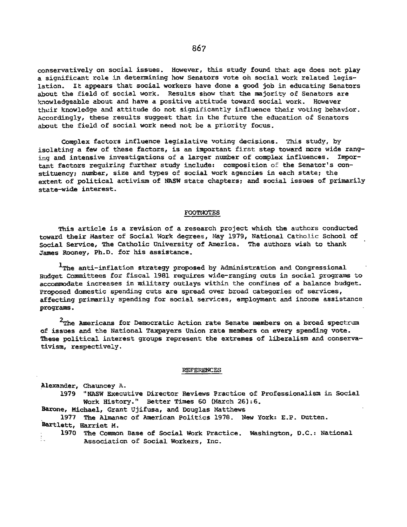conservatively on social issues. However, this study found that age does not play a significant role in determining how Senators vote oh social work related legislation. it appears that social workers have done a good job in educating Senators about the field of social work. Results show that the majority of Senators are !knowledgeable about and have a positive attitude toward social work. However their knowledge and attitude do not significantly influence their voting behavior. Accordingly, these results suggest that in the future the education of Senators about the field of social work need not be a priority focus.

Complex factors influence legislative voting decisions. This study, by isolating a few of these factors, is an important first step toward more wide ranging and intensive investigations of a larger number of complex influences. Important factors requiring further study include: composition of the Senator's constituency; nmber, size and types of social work agencies in each state; the extent of political activism of NASW state chapters; and social issues of primarily state-wide interest.

## FOOTNOTES

This article is a revision of a research project which the authors conducted toward their Master of Social Work degrees, May 1979, National Catholic School of Social Service, The Catholic University of America. The authors wish to thank James Rooney, Ph.D. for his assistance.

1The anti-inflation strategy proposed **by** Administration and Congressional Budget Committees for fiscal 1981 requires wide-ranging cuts in social programs to accommodate increases in military outlays within the confines of a balance budget. Proposed domestic spending cuts are spread over broad categories of services, affecting primarily spending for social services, employment and income assistance programs.

 $2$ The Americans for Democratic Action rate Senate members on a broad spectrum of issues and the National Taxpayers Union rate members on every spending vote. These political interest groups represent the extremes of liberalism and conservativism, respectively.

#### **REFERENCES**

Alexander, Chauncey A. 1979 "NASW Executive Director Reviews Practice of Professionalism in Social Work History." Better Times **60** (March 26):6.

Barone, Michael, Grant Ujifusa, and Douglas Matthews

1977 The Almanac of American Politics 1978. New York: E.P. Dutten. Bartlett, Harriet M.

1970 The Common Base of Social Work Practice. Washington, D.C.: National i.<br>D Association of Social Workers, Inc.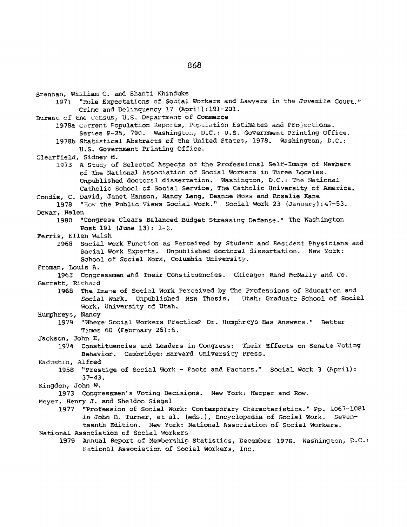Brennan, William C. and Shanti Khinduke 1971 "Role Expectations of Social Workers and Lawyers in the Juvenile Court." Crime and Delinquency 17 (April):191-201. Bureau of the Census, U.S. Department of Commerce 1978a Current Population Reports, Population Estimates and Projections. Series P-25, 790. Washington, D.C.t U.S. Government Printing Office. **1978b** Statistical Abstracts **cf** the United States, 1978. Washington, D.C.: U.S. Government Printing Office. Clearfield, Sidney M. 1973 A Study of Selected Aspects of the Professional Self-Image of Members of The National Association of Social Workers in Three Locales. Unpublished doctoral dissertation. Washington, D.C.: The National Catholic School of Social Service, The Catholic University of America. Condie, C. David, Janet Hanson, Nancy Lang, Deanne Moss and Rosalie Kane<br>1978 "How the Public Views Social Work." Social Work 23 (January) **1978** "Hoy the Public views Social-Work." Social Work 23 (January) :47-53. Dewar, Helen 1980 "Congress Clears Balanced Budget Stressing Defense." The Washington Post 191 (June 13): 1-2. Ferris, Ellen Walsh 1968 Social Work Function as Perceived by Student and Resident Physicians and Social Work Experts. Unpublished doctoral dissertation. New York: School of Social Work, Columbia University. Froman, Louis A. 1963 Congressmen and Their Constituencies. Chicago: Rand McNally and Co. Garrett, Richard 1968 The Image of Social Work Perceived by The Professions of Education and Social Work. Unpublished MSW Thesis. Utah: Graduate School of Social Work, University of Utah. Humphreys, Nancy 1979 "Where Social Workers Practice? Dr. Humphreys Has Answers." Better Times 60 (February 26):6. Jackson, John E. 1974 Constituencies and Leaders in Congress: Their Effects on Senate Voting Behavior. Cambridge: Harvard University Press. Kadushin, Alfred 1958 "Prestige of Social Work - Facts and Factors." Social Work **3** (April): 37-43. Kingdon, John W. 1973 Congressmen's Voting Decisions. New York: Harper and Row. Meyer, Henry 5. and Sheldon Siegel 1977 "Profession of Social Work: Contemporary Characteristics." Pp. 1067-1081 in John B. Turner, et al. (eds.), Encyclopedia of Social Work. Seventeenth Edition. New York: National Association of Social Workers. National Association of Social Workers 1979 Annual Report of Membership Statistics, December 1978. Washington, D.C.:

National Association of Social Workers, Inc.